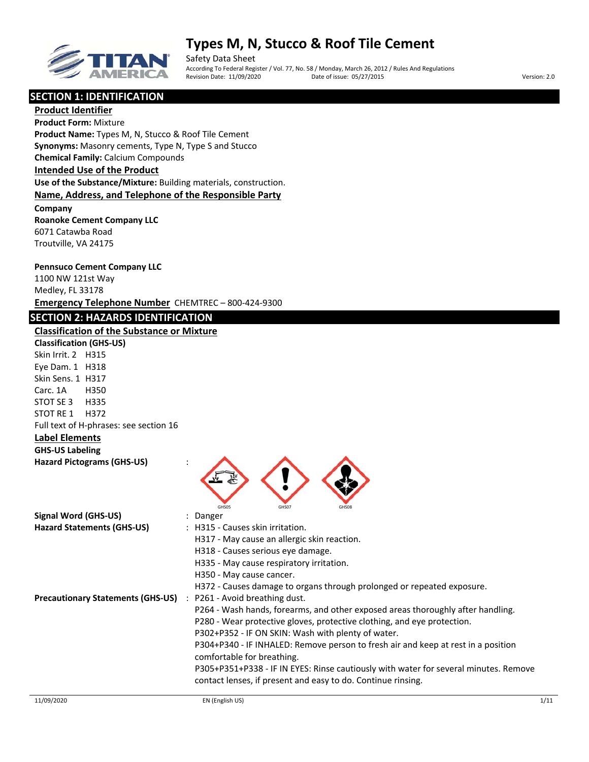

Safety Data Sheet According To Federal Register / Vol. 77, No. 58 / Monday, March 26, 2012 / Rules And Regulations Revision Date: 11/09/2020 Date of issue: 05/27/2015 Version: 2.0

## **SECTION 1: IDENTIFICATION**

**Product Identifier Product Form:** Mixture **Product Name:** Types M, N, Stucco & Roof Tile Cement **Synonyms:** Masonry cements, Type N, Type S and Stucco **Chemical Family:** Calcium Compounds **Intended Use of the Product Use of the Substance/Mixture:** Building materials, construction. **Name, Address, and Telephone of the Responsible Party Company Roanoke Cement Company LLC** 6071 Catawba Road

#### **Pennsuco Cement Company LLC**

Troutville, VA 24175

1100 NW 121st Way Medley, FL 33178 **Emergency Telephone Number** CHEMTREC – 800‐424‐9300

## **SECTION 2: HAZARDS IDENTIFICATION**

## **Classification of the Substance or Mixture**

**Classification (GHS‐US)** Skin Irrit. 2 H315 Eye Dam. 1 H318 Skin Sens. 1 H317 Carc. 1A H350 STOT SE 3 H335 STOT RE 1 H372 Full text of H‐phrases: see section 16 **Label Elements GHS‐US Labeling Hazard Pictograms (GHS‐US)** :

| ∽     |       |       |
|-------|-------|-------|
| GHS05 | GHS07 | GHS08 |

| Signal Word (GHS-US)                     | $:$ Danger                                                                                                                                           |
|------------------------------------------|------------------------------------------------------------------------------------------------------------------------------------------------------|
| <b>Hazard Statements (GHS-US)</b>        | : H315 - Causes skin irritation.                                                                                                                     |
|                                          | H317 - May cause an allergic skin reaction.                                                                                                          |
|                                          | H318 - Causes serious eye damage.                                                                                                                    |
|                                          | H335 - May cause respiratory irritation.                                                                                                             |
|                                          | H350 - May cause cancer.                                                                                                                             |
|                                          | H372 - Causes damage to organs through prolonged or repeated exposure.                                                                               |
| <b>Precautionary Statements (GHS-US)</b> | : P261 - Avoid breathing dust.                                                                                                                       |
|                                          | P264 - Wash hands, forearms, and other exposed areas thoroughly after handling.                                                                      |
|                                          | P280 - Wear protective gloves, protective clothing, and eye protection.                                                                              |
|                                          | P302+P352 - IF ON SKIN: Wash with plenty of water.                                                                                                   |
|                                          | P304+P340 - IF INHALED: Remove person to fresh air and keep at rest in a position<br>comfortable for breathing.                                      |
|                                          | P305+P351+P338 - IF IN EYES: Rinse cautiously with water for several minutes. Remove<br>contact lenses, if present and easy to do. Continue rinsing. |
|                                          |                                                                                                                                                      |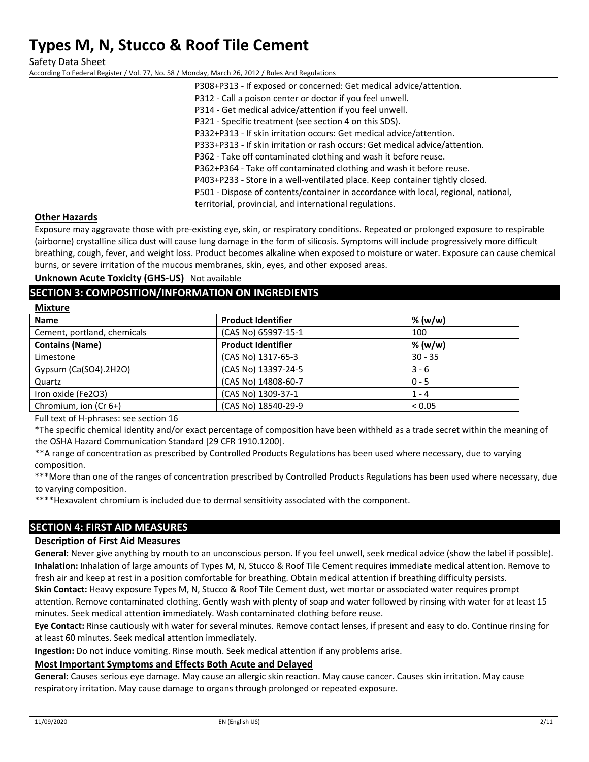Safety Data Sheet According To Federal Register / Vol. 77, No. 58 / Monday, March 26, 2012 / Rules And Regulations

P308+P313 ‐ If exposed or concerned: Get medical advice/attention. P312 ‐ Call a poison center or doctor if you feel unwell. P314 ‐ Get medical advice/attention if you feel unwell. P321 - Specific treatment (see section 4 on this SDS). P332+P313 ‐ If skin irritation occurs: Get medical advice/attention. P333+P313 ‐ If skin irritation or rash occurs: Get medical advice/attention. P362 - Take off contaminated clothing and wash it before reuse. P362+P364 ‐ Take off contaminated clothing and wash it before reuse. P403+P233 ‐ Store in a well‐ventilated place. Keep container tightly closed. P501 ‐ Dispose of contents/container in accordance with local, regional, national, territorial, provincial, and international regulations.

#### **Other Hazards**

**Mixture**

Exposure may aggravate those with pre‐existing eye, skin, or respiratory conditions. Repeated or prolonged exposure to respirable (airborne) crystalline silica dust will cause lung damage in the form of silicosis. Symptoms will include progressively more difficult breathing, cough, fever, and weight loss. Product becomes alkaline when exposed to moisture or water. Exposure can cause chemical burns, or severe irritation of the mucous membranes, skin, eyes, and other exposed areas.

### **Unknown Acute Toxicity (GHS‐US)** Not available

## **SECTION 3: COMPOSITION/INFORMATION ON INGREDIENTS**

| <b>IVIIXCUTE</b>            |                           |             |
|-----------------------------|---------------------------|-------------|
| <b>Name</b>                 | <b>Product Identifier</b> | % (w/w)     |
| Cement, portland, chemicals | (CAS No) 65997-15-1       | 100         |
| <b>Contains (Name)</b>      | <b>Product Identifier</b> | % (w/w)     |
| Limestone                   | (CAS No) 1317-65-3        | $30 - 35$   |
| Gypsum (Ca(SO4).2H2O)       | (CAS No) 13397-24-5       | $3 - 6$     |
| Quartz                      | (CAS No) 14808-60-7       | $0 - 5$     |
| Iron oxide (Fe2O3)          | (CAS No) 1309-37-1        | $1 - 4$     |
| Chromium, ion (Cr 6+)       | (CAS No) 18540-29-9       | ${}_{0.05}$ |

Full text of H‐phrases: see section 16

\*The specific chemical identity and/or exact percentage of composition have been withheld as a trade secret within the meaning of the OSHA Hazard Communication Standard [29 CFR 1910.1200].

\*\*A range of concentration as prescribed by Controlled Products Regulations has been used where necessary, due to varying composition.

\*\*\*More than one of the ranges of concentration prescribed by Controlled Products Regulations has been used where necessary, due to varying composition.

\*\*\*\*Hexavalent chromium is included due to dermal sensitivity associated with the component.

# **SECTION 4: FIRST AID MEASURES**

#### **Description of First Aid Measures**

**General:** Never give anything by mouth to an unconscious person. If you feel unwell, seek medical advice (show the label if possible). **Inhalation:** Inhalation of large amounts of Types M, N, Stucco & Roof Tile Cement requires immediate medical attention. Remove to fresh air and keep at rest in a position comfortable for breathing. Obtain medical attention if breathing difficulty persists.

**Skin Contact:** Heavy exposure Types M, N, Stucco & Roof Tile Cement dust, wet mortar or associated water requires prompt attention. Remove contaminated clothing. Gently wash with plenty of soap and water followed by rinsing with water for at least 15 minutes. Seek medical attention immediately. Wash contaminated clothing before reuse.

**Eye Contact:** Rinse cautiously with water for several minutes. Remove contact lenses, if present and easy to do. Continue rinsing for at least 60 minutes. Seek medical attention immediately.

**Ingestion:** Do not induce vomiting. Rinse mouth. Seek medical attention if any problems arise.

#### **Most Important Symptoms and Effects Both Acute and Delayed**

**General:** Causes serious eye damage. May cause an allergic skin reaction. May cause cancer. Causes skin irritation. May cause respiratory irritation. May cause damage to organs through prolonged or repeated exposure.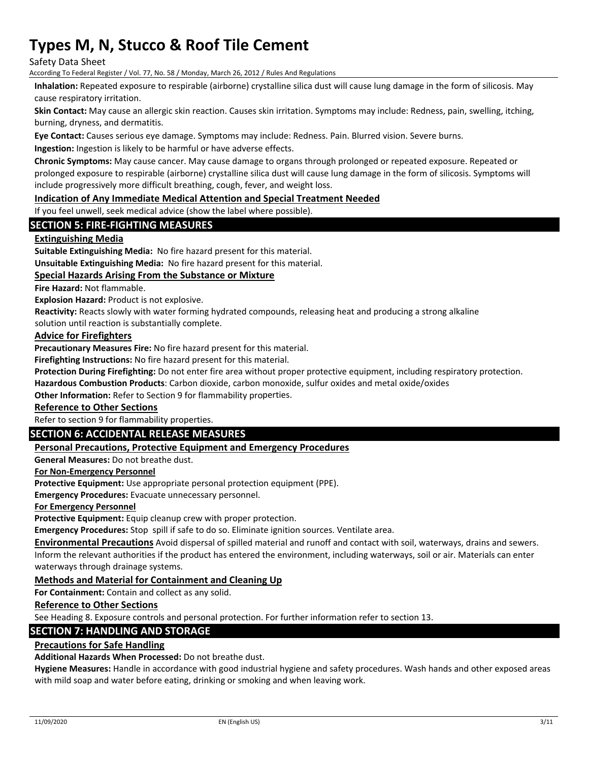Safety Data Sheet

According To Federal Register / Vol. 77, No. 58 / Monday, March 26, 2012 / Rules And Regulations

**Inhalation:** Repeated exposure to respirable (airborne) crystalline silica dust will cause lung damage in the form of silicosis. May cause respiratory irritation.

**Skin Contact:** May cause an allergic skin reaction. Causes skin irritation. Symptoms may include: Redness, pain, swelling, itching, burning, dryness, and dermatitis.

**Eye Contact:** Causes serious eye damage. Symptoms may include: Redness. Pain. Blurred vision. Severe burns.

**Ingestion:** Ingestion is likely to be harmful or have adverse effects.

**Chronic Symptoms:** May cause cancer. May cause damage to organs through prolonged or repeated exposure. Repeated or prolonged exposure to respirable (airborne) crystalline silica dust will cause lung damage in the form of silicosis. Symptoms will include progressively more difficult breathing, cough, fever, and weight loss.

#### **Indication of Any Immediate Medical Attention and Special Treatment Needed**

If you feel unwell, seek medical advice (show the label where possible).

### **SECTION 5: FIRE‐FIGHTING MEASURES**

#### **Extinguishing Media**

**Suitable Extinguishing Media:** No fire hazard present for this material.

**Unsuitable Extinguishing Media:** No fire hazard present for this material.

#### **Special Hazards Arising From the Substance or Mixture**

**Fire Hazard:** Not flammable.

**Explosion Hazard:** Product is not explosive.

**Reactivity:** Reacts slowly with water forming hydrated compounds, releasing heat and producing a strong alkaline

solution until reaction is substantially complete.

#### **Advice for Firefighters**

**Precautionary Measures Fire:** No fire hazard present for this material.

**Firefighting Instructions:** No fire hazard present for this material.

**Protection During Firefighting:** Do not enter fire area without proper protective equipment, including respiratory protection.

**Hazardous Combustion Products**: Carbon dioxide, carbon monoxide, sulfur oxides and metal oxide/oxides

**Other Information:** Refer to Section 9 for flammability properties.

#### **Reference to Other Sections**

Refer to section 9 for flammability properties.

#### **SECTION 6: ACCIDENTAL RELEASE MEASURES**

#### **Personal Precautions, Protective Equipment and Emergency Procedures**

**General Measures:** Do not breathe dust.

#### **For Non‐Emergency Personnel**

**Protective Equipment:** Use appropriate personal protection equipment (PPE).

**Emergency Procedures:** Evacuate unnecessary personnel.

#### **For Emergency Personnel**

**Protective Equipment:** Equip cleanup crew with proper protection.

**Emergency Procedures:** Stop spill if safe to do so. Eliminate ignition sources. Ventilate area.

**Environmental Precautions** Avoid dispersal of spilled material and runoff and contact with soil, waterways, drains and sewers. Inform the relevant authorities if the product has entered the environment, including waterways, soil or air. Materials can enter waterways through drainage systems.

#### **Methods and Material for Containment and Cleaning Up**

**For Containment:** Contain and collect as any solid.

#### **Reference to Other Sections**

See Heading 8. Exposure controls and personal protection. For further information refer to section 13.

#### **SECTION 7: HANDLING AND STORAGE**

#### **Precautions for Safe Handling**

**Additional Hazards When Processed:** Do not breathe dust.

**Hygiene Measures:** Handle in accordance with good industrial hygiene and safety procedures. Wash hands and other exposed areas with mild soap and water before eating, drinking or smoking and when leaving work.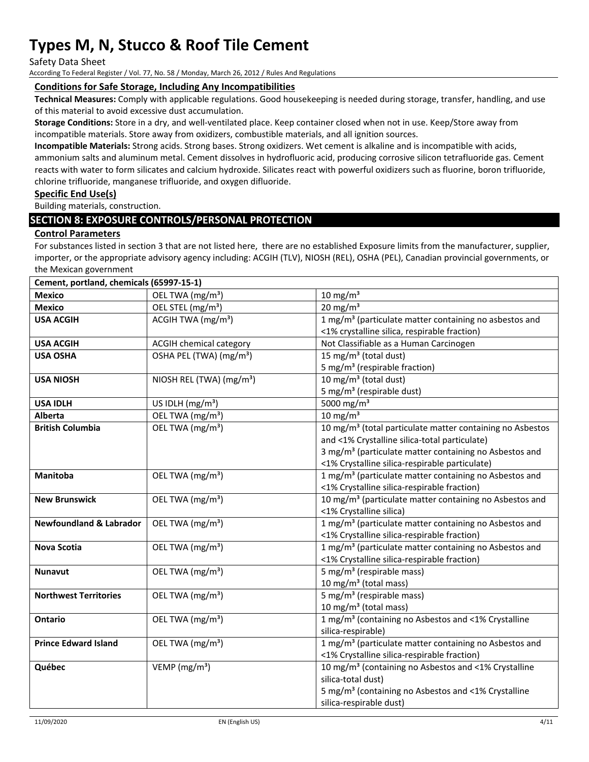Safety Data Sheet

According To Federal Register / Vol. 77, No. 58 / Monday, March 26, 2012 / Rules And Regulations

#### **Conditions for Safe Storage, Including Any Incompatibilities**

**Technical Measures:** Comply with applicable regulations. Good housekeeping is needed during storage, transfer, handling, and use of this material to avoid excessive dust accumulation.

**Storage Conditions:** Store in a dry, and well‐ventilated place. Keep container closed when not in use. Keep/Store away from incompatible materials. Store away from oxidizers, combustible materials, and all ignition sources.

**Incompatible Materials:** Strong acids. Strong bases. Strong oxidizers. Wet cement is alkaline and is incompatible with acids, ammonium salts and aluminum metal. Cement dissolves in hydrofluoric acid, producing corrosive silicon tetrafluoride gas. Cement reacts with water to form silicates and calcium hydroxide. Silicates react with powerful oxidizers such as fluorine, boron trifluoride, chlorine trifluoride, manganese trifluoride, and oxygen difluoride.

#### **Specific End Use(s)**

Building materials, construction.

### **SECTION 8: EXPOSURE CONTROLS/PERSONAL PROTECTION**

#### **Control Parameters**

For substances listed in section 3 that are not listed here, there are no established Exposure limits from the manufacturer, supplier, importer, or the appropriate advisory agency including: ACGIH (TLV), NIOSH (REL), OSHA (PEL), Canadian provincial governments, or the Mexican government

| Cement, portland, chemicals (65997-15-1) |                                      |                                                                       |
|------------------------------------------|--------------------------------------|-----------------------------------------------------------------------|
| <b>Mexico</b>                            | OEL TWA (mg/m <sup>3</sup> )         | $\frac{10 \text{ mg}}{\text{m}^3}$                                    |
| <b>Mexico</b>                            | OEL STEL (mg/m <sup>3</sup> )        | $20 \text{ mg/m}^3$                                                   |
| <b>USA ACGIH</b>                         | ACGIH TWA $(mg/m3)$                  | 1 mg/m <sup>3</sup> (particulate matter containing no asbestos and    |
|                                          |                                      | <1% crystalline silica, respirable fraction)                          |
| <b>USA ACGIH</b>                         | ACGIH chemical category              | Not Classifiable as a Human Carcinogen                                |
| <b>USA OSHA</b>                          | OSHA PEL (TWA) (mg/m <sup>3</sup> )  | 15 mg/m <sup>3</sup> (total dust)                                     |
|                                          |                                      | 5 mg/m <sup>3</sup> (respirable fraction)                             |
| <b>USA NIOSH</b>                         | NIOSH REL (TWA) (mg/m <sup>3</sup> ) | 10 mg/m <sup>3</sup> (total dust)                                     |
|                                          |                                      | 5 mg/m <sup>3</sup> (respirable dust)                                 |
| <b>USA IDLH</b>                          | US IDLH $(mg/m3)$                    | 5000 mg/m <sup>3</sup>                                                |
| Alberta                                  | OEL TWA (mg/m <sup>3</sup> )         | 10 mg/m $3$                                                           |
| <b>British Columbia</b>                  | OEL TWA (mg/m <sup>3</sup> )         | 10 mg/m <sup>3</sup> (total particulate matter containing no Asbestos |
|                                          |                                      | and <1% Crystalline silica-total particulate)                         |
|                                          |                                      | 3 mg/m <sup>3</sup> (particulate matter containing no Asbestos and    |
|                                          |                                      | <1% Crystalline silica-respirable particulate)                        |
| Manitoba                                 | OEL TWA (mg/m <sup>3</sup> )         | 1 mg/m <sup>3</sup> (particulate matter containing no Asbestos and    |
|                                          |                                      | <1% Crystalline silica-respirable fraction)                           |
| <b>New Brunswick</b>                     | OEL TWA (mg/m <sup>3</sup> )         | 10 mg/m <sup>3</sup> (particulate matter containing no Asbestos and   |
|                                          |                                      | <1% Crystalline silica)                                               |
| <b>Newfoundland &amp; Labrador</b>       | OEL TWA (mg/m <sup>3</sup> )         | 1 mg/m <sup>3</sup> (particulate matter containing no Asbestos and    |
|                                          |                                      | <1% Crystalline silica-respirable fraction)                           |
| <b>Nova Scotia</b>                       | OEL TWA (mg/m <sup>3</sup> )         | 1 mg/m <sup>3</sup> (particulate matter containing no Asbestos and    |
|                                          |                                      | <1% Crystalline silica-respirable fraction)                           |
| <b>Nunavut</b>                           | OEL TWA (mg/m <sup>3</sup> )         | 5 mg/m <sup>3</sup> (respirable mass)                                 |
|                                          |                                      | 10 mg/m <sup>3</sup> (total mass)                                     |
| <b>Northwest Territories</b>             | OEL TWA (mg/m <sup>3</sup> )         | 5 mg/m <sup>3</sup> (respirable mass)                                 |
|                                          |                                      | 10 mg/m <sup>3</sup> (total mass)                                     |
| <b>Ontario</b>                           | OEL TWA (mg/m <sup>3</sup> )         | 1 mg/m <sup>3</sup> (containing no Asbestos and <1% Crystalline       |
|                                          |                                      | silica-respirable)                                                    |
| <b>Prince Edward Island</b>              | OEL TWA (mg/m <sup>3</sup> )         | 1 mg/m <sup>3</sup> (particulate matter containing no Asbestos and    |
|                                          |                                      | <1% Crystalline silica-respirable fraction)                           |
| Québec                                   | VEMP ( $mg/m3$ )                     | 10 mg/m <sup>3</sup> (containing no Asbestos and <1% Crystalline      |
|                                          |                                      | silica-total dust)                                                    |
|                                          |                                      | 5 mg/m <sup>3</sup> (containing no Asbestos and <1% Crystalline       |
|                                          |                                      | silica-respirable dust)                                               |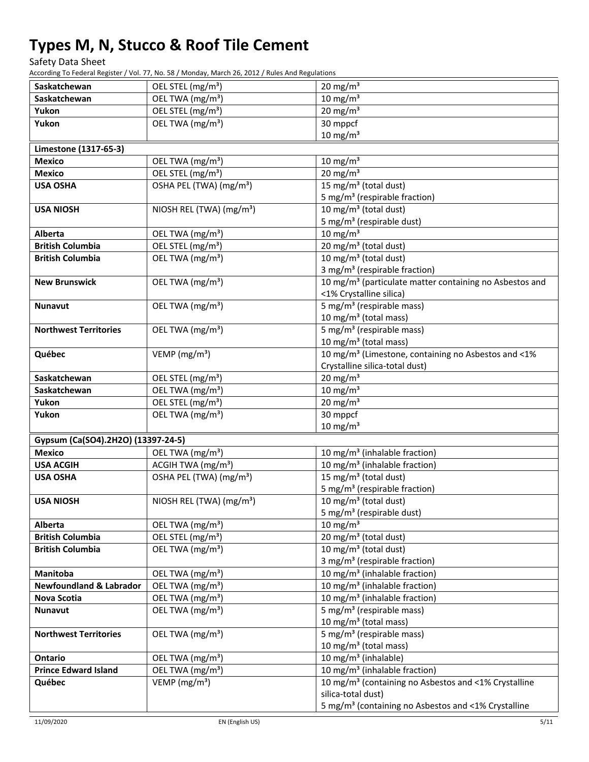Safety Data Sheet

According To Federal Register / Vol. 77, No. 58 / Monday, March 26, 2012 / Rules And Regulations

| Saskatchewan                       | OEL STEL (mg/m <sup>3</sup> )                    | $20 \text{ mg/m}^3$                                                                                           |
|------------------------------------|--------------------------------------------------|---------------------------------------------------------------------------------------------------------------|
| Saskatchewan                       | OEL TWA (mg/m <sup>3</sup> )                     | $10 \text{ mg/m}^3$                                                                                           |
| Yukon                              | OEL STEL (mg/m <sup>3</sup> )                    | $20 \text{ mg/m}^3$                                                                                           |
| Yukon                              | OEL TWA (mg/m <sup>3</sup> )                     | $30$ mppcf                                                                                                    |
|                                    |                                                  | $10 \text{ mg/m}^3$                                                                                           |
| Limestone (1317-65-3)              |                                                  |                                                                                                               |
| <b>Mexico</b>                      | OEL TWA (mg/m <sup>3</sup> )                     | $10 \text{ mg/m}^3$                                                                                           |
| <b>Mexico</b>                      | OEL STEL (mg/m <sup>3</sup> )                    | $20 \text{ mg/m}^3$                                                                                           |
| <b>USA OSHA</b>                    | OSHA PEL (TWA) (mg/m <sup>3</sup> )              | 15 mg/m <sup>3</sup> (total dust)                                                                             |
|                                    |                                                  | 5 mg/m <sup>3</sup> (respirable fraction)                                                                     |
| <b>USA NIOSH</b>                   | NIOSH REL (TWA) (mg/m <sup>3</sup> )             | 10 mg/m <sup>3</sup> (total dust)                                                                             |
|                                    |                                                  | 5 mg/m <sup>3</sup> (respirable dust)                                                                         |
| <b>Alberta</b>                     | OEL TWA (mg/m <sup>3</sup> )                     | $10 \text{ mg/m}^3$                                                                                           |
| <b>British Columbia</b>            | OEL STEL (mg/m <sup>3</sup> )                    | $20 \,\mathrm{mg/m^3}$ (total dust)                                                                           |
| <b>British Columbia</b>            | OEL TWA (mg/m <sup>3</sup> )                     | 10 mg/m <sup>3</sup> (total dust)                                                                             |
|                                    |                                                  | 3 mg/m <sup>3</sup> (respirable fraction)                                                                     |
| <b>New Brunswick</b>               | OEL TWA (mg/m <sup>3</sup> )                     | 10 mg/m <sup>3</sup> (particulate matter containing no Asbestos and                                           |
|                                    |                                                  | <1% Crystalline silica)                                                                                       |
| <b>Nunavut</b>                     | OEL TWA (mg/m <sup>3</sup> )                     | 5 mg/m <sup>3</sup> (respirable mass)                                                                         |
|                                    |                                                  | 10 mg/m <sup>3</sup> (total mass)                                                                             |
| <b>Northwest Territories</b>       | OEL TWA (mg/m <sup>3</sup> )                     | 5 mg/m <sup>3</sup> (respirable mass)                                                                         |
|                                    |                                                  | 10 mg/m <sup>3</sup> (total mass)                                                                             |
| Québec                             | VEMP ( $mg/m3$ )                                 | 10 mg/m <sup>3</sup> (Limestone, containing no Asbestos and <1%                                               |
|                                    |                                                  | Crystalline silica-total dust)                                                                                |
| Saskatchewan                       | OEL STEL (mg/m <sup>3</sup> )                    | $20 \text{ mg/m}^3$                                                                                           |
| Saskatchewan                       | OEL TWA (mg/m <sup>3</sup> )                     | $10 \text{ mg/m}^3$                                                                                           |
| Yukon                              | OEL STEL (mg/m <sup>3</sup> )                    | $20 \text{ mg/m}^3$                                                                                           |
| Yukon                              | OEL TWA (mg/m <sup>3</sup> )                     | 30 mppcf                                                                                                      |
|                                    |                                                  | $10 \text{ mg/m}^3$                                                                                           |
| Gypsum (Ca(SO4).2H2O) (13397-24-5) |                                                  |                                                                                                               |
| <b>Mexico</b>                      | OEL TWA (mg/m <sup>3</sup> )                     | 10 mg/m <sup>3</sup> (inhalable fraction)                                                                     |
| <b>USA ACGIH</b>                   | ACGIH TWA (mg/m <sup>3</sup> )                   | 10 mg/m <sup>3</sup> (inhalable fraction)                                                                     |
| <b>USA OSHA</b>                    | OSHA PEL (TWA) (mg/m <sup>3</sup> )              | 15 mg/m <sup>3</sup> (total dust)                                                                             |
|                                    |                                                  | 5 mg/m <sup>3</sup> (respirable fraction)                                                                     |
| <b>USA NIOSH</b>                   | NIOSH REL (TWA) (mg/m <sup>3</sup> )             | 10 mg/m $3$ (total dust)                                                                                      |
|                                    |                                                  | 5 mg/m <sup>3</sup> (respirable dust)                                                                         |
| Alberta                            | OEL TWA (mg/m <sup>3</sup> )                     | $10 \text{ mg/m}^3$                                                                                           |
| <b>British Columbia</b>            | OEL STEL (mg/m <sup>3</sup> )                    | 20 mg/m <sup>3</sup> (total dust)                                                                             |
| <b>British Columbia</b>            | OEL TWA (mg/m <sup>3</sup> )                     | 10 mg/m $3$ (total dust)                                                                                      |
|                                    |                                                  | 3 mg/m <sup>3</sup> (respirable fraction)                                                                     |
| <b>Manitoba</b>                    | OEL TWA (mg/m <sup>3</sup> )                     | 10 mg/m <sup>3</sup> (inhalable fraction)                                                                     |
| <b>Newfoundland &amp; Labrador</b> | OEL TWA (mg/m <sup>3</sup> )                     | 10 mg/m <sup>3</sup> (inhalable fraction)                                                                     |
| Nova Scotia                        | OEL TWA (mg/m <sup>3</sup> )                     | 10 mg/m <sup>3</sup> (inhalable fraction)                                                                     |
| Nunavut                            | OEL TWA (mg/m <sup>3</sup> )                     | $\frac{1}{5}$ mg/m <sup>3</sup> (respirable mass)                                                             |
|                                    |                                                  | 10 mg/m <sup>3</sup> (total mass)                                                                             |
| <b>Northwest Territories</b>       | OEL TWA (mg/m <sup>3</sup> )                     | 5 mg/m <sup>3</sup> (respirable mass)                                                                         |
|                                    |                                                  | 10 mg/m <sup>3</sup> (total mass)                                                                             |
| Ontario                            | OEL TWA (mg/m <sup>3</sup> )                     | $\overline{10}$ mg/m <sup>3</sup> (inhalable)                                                                 |
| <b>Prince Edward Island</b>        | OEL TWA (mg/m <sup>3</sup> )<br>VEMP ( $mg/m3$ ) | 10 mg/m <sup>3</sup> (inhalable fraction)<br>10 mg/m <sup>3</sup> (containing no Asbestos and <1% Crystalline |
| Québec                             |                                                  | silica-total dust)                                                                                            |
|                                    |                                                  | 5 mg/m <sup>3</sup> (containing no Asbestos and <1% Crystalline                                               |
|                                    |                                                  |                                                                                                               |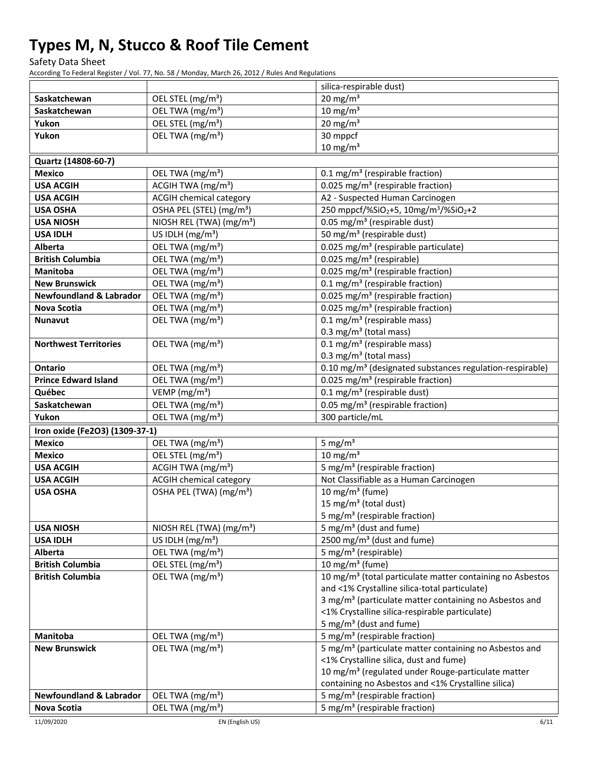Safety Data Sheet

According To Federal Register / Vol. 77, No. 58 / Monday, March 26, 2012 / Rules And Regulations

|                                    |                                      | silica-respirable dust)                                                                                      |
|------------------------------------|--------------------------------------|--------------------------------------------------------------------------------------------------------------|
| Saskatchewan                       | OEL STEL (mg/m <sup>3</sup> )        | $20 \text{ mg/m}^3$                                                                                          |
| Saskatchewan                       | OEL TWA (mg/m <sup>3</sup> )         | $10 \text{ mg/m}^3$                                                                                          |
| Yukon                              | OEL STEL (mg/m <sup>3</sup> )        | $20 \text{ mg/m}^3$                                                                                          |
| Yukon                              | OEL TWA (mg/m <sup>3</sup> )         | 30 mppcf                                                                                                     |
|                                    |                                      | $10 \text{ mg/m}^3$                                                                                          |
| Quartz (14808-60-7)                |                                      |                                                                                                              |
| <b>Mexico</b>                      | OEL TWA (mg/m <sup>3</sup> )         | 0.1 mg/m <sup>3</sup> (respirable fraction)                                                                  |
| <b>USA ACGIH</b>                   | ACGIH TWA $(mg/m3)$                  | 0.025 mg/m <sup>3</sup> (respirable fraction)                                                                |
| <b>USA ACGIH</b>                   | <b>ACGIH chemical category</b>       | A2 - Suspected Human Carcinogen                                                                              |
| <b>USA OSHA</b>                    | OSHA PEL (STEL) (mg/m <sup>3</sup> ) | 250 mppcf/%SiO <sub>2</sub> +5, 10mg/m <sup>3</sup> /%SiO <sub>2</sub> +2                                    |
| <b>USA NIOSH</b>                   | NIOSH REL (TWA) (mg/m <sup>3</sup> ) | 0.05 mg/m <sup>3</sup> (respirable dust)                                                                     |
| <b>USA IDLH</b>                    | US IDLH $(mg/m3)$                    | 50 mg/m <sup>3</sup> (respirable dust)                                                                       |
| <b>Alberta</b>                     | OEL TWA (mg/m <sup>3</sup> )         | 0.025 mg/m <sup>3</sup> (respirable particulate)                                                             |
| <b>British Columbia</b>            | OEL TWA (mg/m <sup>3</sup> )         | 0.025 mg/m <sup>3</sup> (respirable)                                                                         |
| <b>Manitoba</b>                    | OEL TWA (mg/m <sup>3</sup> )         | 0.025 mg/m <sup>3</sup> (respirable fraction)                                                                |
| <b>New Brunswick</b>               | OEL TWA (mg/m <sup>3</sup> )         | 0.1 mg/m <sup>3</sup> (respirable fraction)                                                                  |
| <b>Newfoundland &amp; Labrador</b> | OEL TWA (mg/m <sup>3</sup> )         | 0.025 mg/m <sup>3</sup> (respirable fraction)                                                                |
| <b>Nova Scotia</b>                 | OEL TWA (mg/m <sup>3</sup> )         | 0.025 mg/m <sup>3</sup> (respirable fraction)                                                                |
| Nunavut                            | OEL TWA (mg/m <sup>3</sup> )         | $0.1 \text{ mg/m}^3$ (respirable mass)                                                                       |
|                                    |                                      | $0.3 \text{ mg/m}^3$ (total mass)                                                                            |
| <b>Northwest Territories</b>       | OEL TWA (mg/m <sup>3</sup> )         | $0.1 \,\mathrm{mg/m^3}$ (respirable mass)                                                                    |
|                                    |                                      | 0.3 mg/m <sup>3</sup> (total mass)                                                                           |
| <b>Ontario</b>                     | OEL TWA (mg/m <sup>3</sup> )         | 0.10 mg/m <sup>3</sup> (designated substances regulation-respirable)                                         |
| <b>Prince Edward Island</b>        | OEL TWA (mg/m <sup>3</sup> )         | 0.025 mg/m <sup>3</sup> (respirable fraction)                                                                |
| Québec                             | VEMP ( $mg/m3$ )                     | $0.1 \text{ mg/m}^3$ (respirable dust)                                                                       |
| Saskatchewan                       | OEL TWA (mg/m <sup>3</sup> )         | 0.05 mg/m <sup>3</sup> (respirable fraction)                                                                 |
| Yukon                              | OEL TWA (mg/m <sup>3</sup> )         | 300 particle/mL                                                                                              |
| Iron oxide (Fe2O3) (1309-37-1)     |                                      |                                                                                                              |
| <b>Mexico</b>                      | OEL TWA (mg/m <sup>3</sup> )         | 5 mg/ $m3$                                                                                                   |
| <b>Mexico</b>                      | OEL STEL (mg/m <sup>3</sup> )        | $10 \text{ mg/m}^3$                                                                                          |
| <b>USA ACGIH</b>                   | ACGIH TWA (mg/m <sup>3</sup> )       | 5 mg/m <sup>3</sup> (respirable fraction)                                                                    |
| <b>USA ACGIH</b>                   | <b>ACGIH chemical category</b>       | Not Classifiable as a Human Carcinogen                                                                       |
| <b>USA OSHA</b>                    | OSHA PEL (TWA) (mg/m <sup>3</sup> )  | $10 \text{ mg/m}^3$ (fume)                                                                                   |
|                                    |                                      | 15 mg/m <sup>3</sup> (total dust)                                                                            |
|                                    |                                      | 5 mg/m <sup>3</sup> (respirable fraction)                                                                    |
| <b>USA NIOSH</b>                   | NIOSH REL (TWA) (mg/m <sup>3</sup> ) | 5 mg/m <sup>3</sup> (dust and fume)                                                                          |
| <b>USA IDLH</b>                    | US IDLH $(mg/m3)$                    | 2500 mg/m <sup>3</sup> (dust and fume)                                                                       |
| Alberta                            | OEL TWA (mg/m <sup>3</sup> )         | 5 mg/m <sup>3</sup> (respirable)                                                                             |
| <b>British Columbia</b>            | OEL STEL (mg/m <sup>3</sup> )        | 10 mg/m <sup>3</sup> (fume)                                                                                  |
| <b>British Columbia</b>            | OEL TWA (mg/m <sup>3</sup> )         | 10 mg/m <sup>3</sup> (total particulate matter containing no Asbestos                                        |
|                                    |                                      | and <1% Crystalline silica-total particulate)                                                                |
|                                    |                                      | 3 mg/m <sup>3</sup> (particulate matter containing no Asbestos and                                           |
|                                    |                                      | <1% Crystalline silica-respirable particulate)                                                               |
|                                    |                                      | 5 mg/m <sup>3</sup> (dust and fume)                                                                          |
| Manitoba<br><b>New Brunswick</b>   | OEL TWA (mg/m <sup>3</sup> )         | 5 mg/m <sup>3</sup> (respirable fraction)                                                                    |
|                                    | OEL TWA (mg/m <sup>3</sup> )         | 5 mg/m <sup>3</sup> (particulate matter containing no Asbestos and<br><1% Crystalline silica, dust and fume) |
|                                    |                                      | 10 mg/m <sup>3</sup> (regulated under Rouge-particulate matter                                               |
|                                    |                                      | containing no Asbestos and <1% Crystalline silica)                                                           |
| <b>Newfoundland &amp; Labrador</b> | OEL TWA (mg/m <sup>3</sup> )         | 5 mg/m <sup>3</sup> (respirable fraction)                                                                    |
| <b>Nova Scotia</b>                 | OEL TWA (mg/m <sup>3</sup> )         | 5 mg/m <sup>3</sup> (respirable fraction)                                                                    |
|                                    |                                      |                                                                                                              |

11/09/2020 EN (English US) 6/11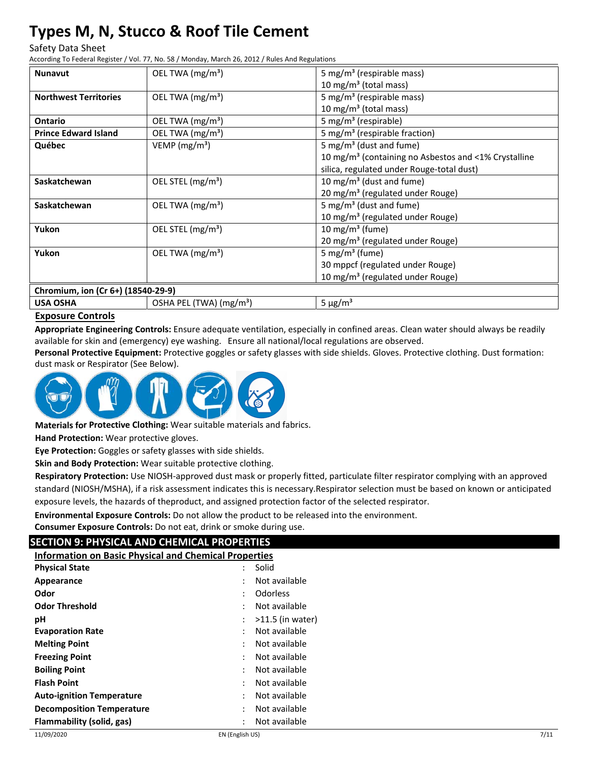#### Safety Data Sheet

According To Federal Register / Vol. 77, No. 58 / Monday, March 26, 2012 / Rules And Regulations

| <b>Nunavut</b>                     | OEL TWA (mg/m <sup>3</sup> )        |                                                                  |
|------------------------------------|-------------------------------------|------------------------------------------------------------------|
|                                    |                                     | 5 mg/m <sup>3</sup> (respirable mass)                            |
|                                    |                                     | 10 mg/m <sup>3</sup> (total mass)                                |
| <b>Northwest Territories</b>       | OEL TWA (mg/m <sup>3</sup> )        | 5 mg/m <sup>3</sup> (respirable mass)                            |
|                                    |                                     | 10 mg/m <sup>3</sup> (total mass)                                |
| Ontario                            | OEL TWA $(mg/m3)$                   | 5 mg/m <sup>3</sup> (respirable)                                 |
| <b>Prince Edward Island</b>        | OEL TWA (mg/m <sup>3</sup> )        | 5 mg/m <sup>3</sup> (respirable fraction)                        |
| Québec                             | VEMP ( $mg/m3$ )                    | 5 mg/m <sup>3</sup> (dust and fume)                              |
|                                    |                                     | 10 mg/m <sup>3</sup> (containing no Asbestos and <1% Crystalline |
|                                    |                                     | silica, regulated under Rouge-total dust)                        |
| Saskatchewan                       | OEL STEL (mg/m <sup>3</sup> )       | 10 mg/m <sup>3</sup> (dust and fume)                             |
|                                    |                                     | 20 mg/m <sup>3</sup> (regulated under Rouge)                     |
| Saskatchewan                       | OEL TWA $(mg/m3)$                   | 5 mg/m <sup>3</sup> (dust and fume)                              |
|                                    |                                     | 10 mg/m <sup>3</sup> (regulated under Rouge)                     |
| Yukon                              | OEL STEL (mg/m <sup>3</sup> )       | 10 mg/m <sup>3</sup> (fume)                                      |
|                                    |                                     | 20 mg/m <sup>3</sup> (regulated under Rouge)                     |
| Yukon                              | OEL TWA (mg/m <sup>3</sup> )        | 5 mg/m <sup>3</sup> (fume)                                       |
|                                    |                                     | 30 mppcf (regulated under Rouge)                                 |
|                                    |                                     | 10 mg/m <sup>3</sup> (regulated under Rouge)                     |
| Chromium, ion (Cr 6+) (18540-29-9) |                                     |                                                                  |
| <b>USA OSHA</b>                    | OSHA PEL (TWA) (mg/m <sup>3</sup> ) | $5 \mu g/m^3$                                                    |

#### **Exposure Controls**

**Appropriate Engineering Controls:** Ensure adequate ventilation, especially in confined areas. Clean water should always be readily  available for skin and (emergency) eye washing. Ensure all national/local regulations are observed.

**Personal Protective Equipment:** Protective goggles or safety glasses with side shields. Gloves. Protective clothing. Dust formation: dust mask or Respirator (See Below).



**Materials for Protective Clothing:** Wear suitable materials and fabrics.

**Hand Protection:** Wear protective gloves.

**Eye Protection:** Goggles or safety glasses with side shields.

**Skin and Body Protection:** Wear suitable protective clothing.

**Respiratory Protection:** Use NIOSH-approved dust mask or properly fitted, particulate filter respirator complying with an approved standard (NIOSH/MSHA), if a risk assessment indicates this is necessary.Respirator selection must be based on known or anticipated exposure levels, the hazards of theproduct, and assigned protection factor of the selected respirator.

**Environmental Exposure Controls:** Do not allow the product to be released into the environment.

**Consumer Exposure Controls:** Do not eat, drink or smoke during use.

# **SECTION 9: PHYSICAL AND CHEMICAL PROPERTIES**

**Information on Basic Physical and Chemical Properties**

| <b>Physical State</b>            |                | Solid              |
|----------------------------------|----------------|--------------------|
| Appearance                       | $\ddot{\cdot}$ | Not available      |
| Odor                             | $\ddot{\cdot}$ | Odorless           |
| <b>Odor Threshold</b>            | $\ddot{\cdot}$ | Not available      |
| рH                               | $\ddot{\cdot}$ | $>11.5$ (in water) |
| <b>Evaporation Rate</b>          |                | Not available      |
| <b>Melting Point</b>             | $\ddot{\cdot}$ | Not available      |
| <b>Freezing Point</b>            | $\ddot{\cdot}$ | Not available      |
| <b>Boiling Point</b>             | $\ddot{\cdot}$ | Not available      |
| <b>Flash Point</b>               | $\ddot{\cdot}$ | Not available      |
| <b>Auto-ignition Temperature</b> | ÷              | Not available      |
| <b>Decomposition Temperature</b> | $\ddot{\cdot}$ | Not available      |
| Flammability (solid, gas)        |                | Not available      |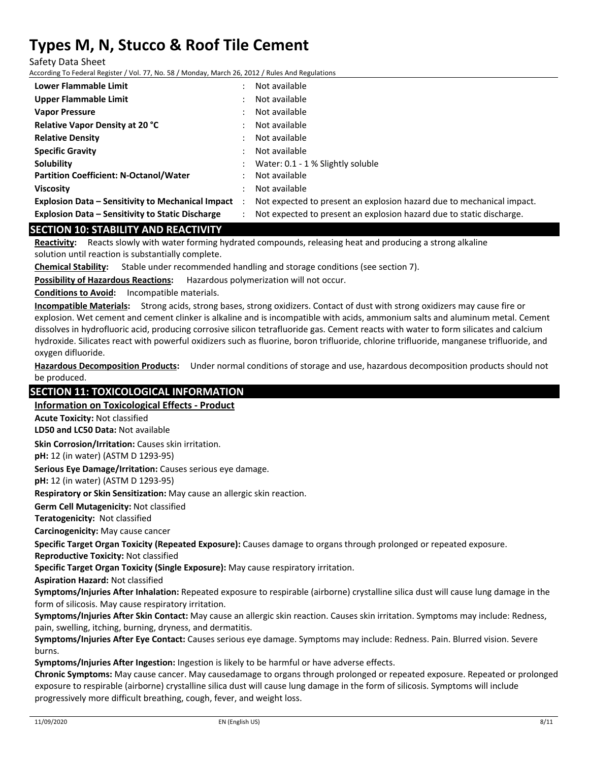Safety Data Sheet

According To Federal Register / Vol. 77, No. 58 / Monday, March 26, 2012 / Rules And Regulations

| Lower Flammable Limit                                      |           | Not available                                                         |
|------------------------------------------------------------|-----------|-----------------------------------------------------------------------|
| Upper Flammable Limit                                      |           | Not available                                                         |
| <b>Vapor Pressure</b>                                      |           | Not available                                                         |
| <b>Relative Vapor Density at 20 °C</b>                     |           | Not available                                                         |
| <b>Relative Density</b>                                    |           | Not available                                                         |
| <b>Specific Gravity</b>                                    | $\bullet$ | Not available                                                         |
| Solubility                                                 |           | Water: 0.1 - 1 % Slightly soluble                                     |
| <b>Partition Coefficient: N-Octanol/Water</b>              |           | Not available                                                         |
| <b>Viscosity</b>                                           |           | Not available                                                         |
| <b>Explosion Data – Sensitivity to Mechanical Impact</b> : |           | Not expected to present an explosion hazard due to mechanical impact. |
| <b>Explosion Data - Sensitivity to Static Discharge</b>    |           | Not expected to present an explosion hazard due to static discharge.  |

#### **SECTION 10: STABILITY AND REACTIVITY**

**Reactivity:** Reacts slowly with water forming hydrated compounds, releasing heat and producing a strong alkaline solution until reaction is substantially complete.

**Chemical Stability:** Stable under recommended handling and storage conditions (see section 7).

**Possibility of Hazardous Reactions:** Hazardous polymerization will not occur.

**Conditions to Avoid:** Incompatible materials.

**Incompatible Materials:** Strong acids, strong bases, strong oxidizers. Contact of dust with strong oxidizers may cause fire or explosion. Wet cement and cement clinker is alkaline and is incompatible with acids, ammonium salts and aluminum metal. Cement dissolves in hydrofluoric acid, producing corrosive silicon tetrafluoride gas. Cement reacts with water to form silicates and calcium hydroxide. Silicates react with powerful oxidizers such as fluorine, boron trifluoride, chlorine trifluoride, manganese trifluoride, and oxygen difluoride.

**Hazardous Decomposition Products:** Under normal conditions of storage and use, hazardous decomposition products should not be produced.

### **SECTION 11: TOXICOLOGICAL INFORMATION**

#### **Information on Toxicological Effects ‐ Product**

**Acute Toxicity:** Not classified

**LD50 and LC50 Data:** Not available

**Skin Corrosion/Irritation:** Causes skin irritation.

**pH:** 12 (in water) (ASTM D 1293‐95)

**Serious Eye Damage/Irritation:** Causes serious eye damage.

**pH:** 12 (in water) (ASTM D 1293‐95)

**Respiratory or Skin Sensitization:** May cause an allergic skin reaction.

**Germ Cell Mutagenicity:** Not classified

**Teratogenicity:** Not classified

**Carcinogenicity:** May cause cancer

**Specific Target Organ Toxicity (Repeated Exposure):** Causes damage to organs through prolonged or repeated exposure.

**Reproductive Toxicity:** Not classified

**Specific Target Organ Toxicity (Single Exposure):** May cause respiratory irritation.

**Aspiration Hazard:** Not classified

**Symptoms/Injuries After Inhalation:** Repeated exposure to respirable (airborne) crystalline silica dust will cause lung damage in the form of silicosis. May cause respiratory irritation.

**Symptoms/Injuries After Skin Contact:** May cause an allergic skin reaction. Causes skin irritation. Symptoms may include: Redness, pain, swelling, itching, burning, dryness, and dermatitis.

**Symptoms/Injuries After Eye Contact:** Causes serious eye damage. Symptoms may include: Redness. Pain. Blurred vision. Severe burns.

**Symptoms/Injuries After Ingestion:** Ingestion is likely to be harmful or have adverse effects.

**Chronic Symptoms:** May cause cancer. May causedamage to organs through prolonged or repeated exposure. Repeated or prolonged exposure to respirable (airborne) crystalline silica dust will cause lung damage in the form of silicosis. Symptoms will include progressively more difficult breathing, cough, fever, and weight loss.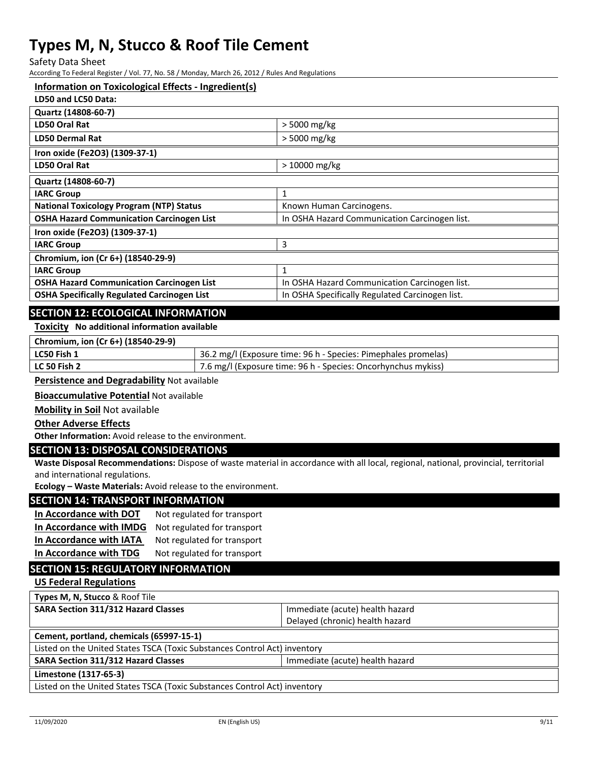Safety Data Sheet

According To Federal Register / Vol. 77, No. 58 / Monday, March 26, 2012 / Rules And Regulations

#### **Information on Toxicological Effects ‐ Ingredient(s)**

| > 5000 mg/kg                                    |
|-------------------------------------------------|
| > 5000 mg/kg                                    |
|                                                 |
| $>10000$ mg/kg                                  |
|                                                 |
| 1                                               |
| Known Human Carcinogens.                        |
| In OSHA Hazard Communication Carcinogen list.   |
|                                                 |
| 3                                               |
|                                                 |
| 1                                               |
| In OSHA Hazard Communication Carcinogen list.   |
| In OSHA Specifically Regulated Carcinogen list. |
|                                                 |

### **SECTION 12: ECOLOGICAL INFORMATION**

#### **Toxicity No additional information available**

| Chromium, ion (Cr 6+) (18540-29-9) |                                                                |
|------------------------------------|----------------------------------------------------------------|
| LC50 Fish 1                        | 36.2 mg/l (Exposure time: 96 h - Species: Pimephales promelas) |
| LC 50 Fish 2                       | 7.6 mg/l (Exposure time: 96 h - Species: Oncorhynchus mykiss)  |

#### **Persistence and Degradability** Not available

**Bioaccumulative Potential** Not available

**Mobility in Soil** Not available

#### **Other Adverse Effects**

**Other Information:** Avoid release to the environment.

### **SECTION 13: DISPOSAL CONSIDERATIONS**

**Waste Disposal Recommendations:** Dispose of waste material in accordance with all local, regional, national, provincial, territorial and international regulations.

**Ecology – Waste Materials:** Avoid release to the environment.

#### **SECTION 14: TRANSPORT INFORMATION**

| In Accordance with DOT  | Not regulated for transport |
|-------------------------|-----------------------------|
| In Accordance with IMDG | Not regulated for transport |
| In Accordance with IATA | Not regulated for transport |
| In Accordance with TDG  | Not regulated for transport |

## **SECTION 15: REGULATORY INFORMATION**

**US Federal Regulations**

**Types M, N, Stucco** & Roof Tile

| SARA Section 311/312 Hazard Classes | Immediate (acute) health hazard |
|-------------------------------------|---------------------------------|
|                                     | Delayed (chronic) health hazard |

#### **Cement, portland, chemicals (65997‐15‐1)**

Listed on the United States TSCA (Toxic Substances Control Act) inventory

**SARA Section 311/312 Hazard Classes Integrals and Immediate (acute) health hazard** 

#### **Limestone (1317‐65‐3)**

Listed on the United States TSCA (Toxic Substances Control Act) inventory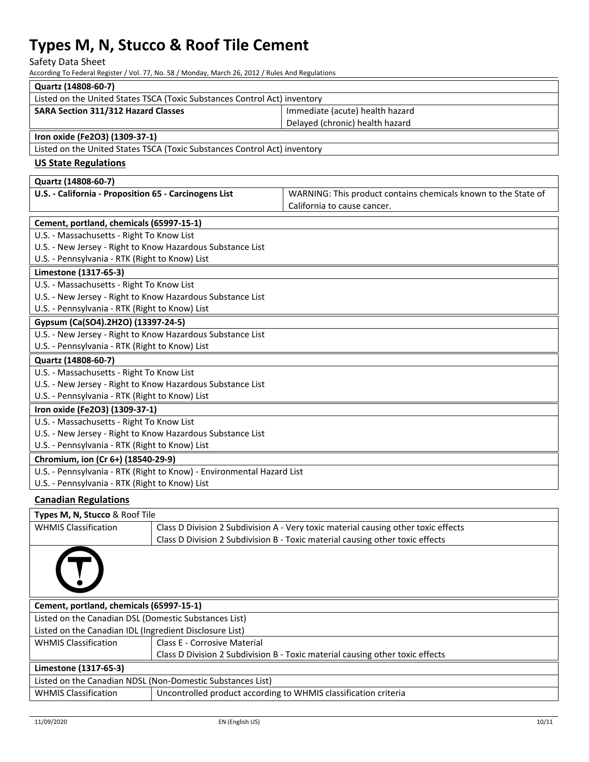Safety Data Sheet

According To Federal Register / Vol. 77, No. 58 / Monday, March 26, 2012 / Rules And Regulations

| Quartz (14808-60-7)                                                       |                                                                                               |  |
|---------------------------------------------------------------------------|-----------------------------------------------------------------------------------------------|--|
| Listed on the United States TSCA (Toxic Substances Control Act) inventory |                                                                                               |  |
| <b>SARA Section 311/312 Hazard Classes</b>                                | Immediate (acute) health hazard                                                               |  |
|                                                                           | Delayed (chronic) health hazard                                                               |  |
| Iron oxide (Fe2O3) (1309-37-1)                                            |                                                                                               |  |
| Listed on the United States TSCA (Toxic Substances Control Act) inventory |                                                                                               |  |
| <b>US State Regulations</b>                                               |                                                                                               |  |
| Quartz (14808-60-7)                                                       |                                                                                               |  |
| U.S. - California - Proposition 65 - Carcinogens List                     | WARNING: This product contains chemicals known to the State of<br>California to cause cancer. |  |
| Cement, portland, chemicals (65997-15-1)                                  |                                                                                               |  |
| U.S. - Massachusetts - Right To Know List                                 |                                                                                               |  |
| U.S. - New Jersey - Right to Know Hazardous Substance List                |                                                                                               |  |
| U.S. - Pennsylvania - RTK (Right to Know) List                            |                                                                                               |  |
| Limestone (1317-65-3)                                                     |                                                                                               |  |
| U.S. - Massachusetts - Right To Know List                                 |                                                                                               |  |
| U.S. - New Jersey - Right to Know Hazardous Substance List                |                                                                                               |  |
| U.S. - Pennsylvania - RTK (Right to Know) List                            |                                                                                               |  |
| Gypsum (Ca(SO4).2H2O) (13397-24-5)                                        |                                                                                               |  |
| U.S. - New Jersey - Right to Know Hazardous Substance List                |                                                                                               |  |
| U.S. - Pennsylvania - RTK (Right to Know) List                            |                                                                                               |  |
| Quartz (14808-60-7)                                                       |                                                                                               |  |
| U.S. - Massachusetts - Right To Know List                                 |                                                                                               |  |
| U.S. - New Jersey - Right to Know Hazardous Substance List                |                                                                                               |  |
| U.S. - Pennsylvania - RTK (Right to Know) List                            |                                                                                               |  |
| Iron oxide (Fe2O3) (1309-37-1)                                            |                                                                                               |  |
| U.S. - Massachusetts - Right To Know List                                 |                                                                                               |  |
| U.S. - New Jersey - Right to Know Hazardous Substance List                |                                                                                               |  |
| U.S. - Pennsylvania - RTK (Right to Know) List                            |                                                                                               |  |
| Chromium, ion (Cr 6+) (18540-29-9)                                        |                                                                                               |  |
| U.S. - Pennsylvania - RTK (Right to Know) - Environmental Hazard List     |                                                                                               |  |
| U.S. - Pennsylvania - RTK (Right to Know) List                            |                                                                                               |  |
| <b>Canadian Regulations</b>                                               |                                                                                               |  |

| Types M, N, Stucco & Roof Tile                             |                                                                                    |  |
|------------------------------------------------------------|------------------------------------------------------------------------------------|--|
| <b>WHMIS Classification</b>                                | Class D Division 2 Subdivision A - Very toxic material causing other toxic effects |  |
|                                                            | Class D Division 2 Subdivision B - Toxic material causing other toxic effects      |  |
|                                                            |                                                                                    |  |
| Cement, portland, chemicals (65997-15-1)                   |                                                                                    |  |
| Listed on the Canadian DSL (Domestic Substances List)      |                                                                                    |  |
| Listed on the Canadian IDL (Ingredient Disclosure List)    |                                                                                    |  |
| <b>WHMIS Classification</b>                                | Class E - Corrosive Material                                                       |  |
|                                                            | Class D Division 2 Subdivision B - Toxic material causing other toxic effects      |  |
| Limestone (1317-65-3)                                      |                                                                                    |  |
| Listed on the Canadian NDSL (Non-Domestic Substances List) |                                                                                    |  |
| <b>WHMIS Classification</b>                                | Uncontrolled product according to WHMIS classification criteria                    |  |